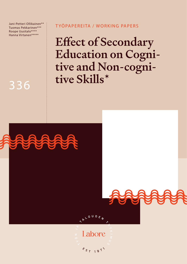Jani-Petteri Ollikainen\*\* Tuomas Pekkarinen\*\*\* Roope Uusitalo\*\*\*\* Hanna Virtanen\*\*\*\*\*

## T YÖPAPEREITA / WORKING PAPERS

IPLOUDEN

Labore

 $s_{s_{1}191}$ 

Effect of Secondary Education on Cognitive and Non-cognitive Skills\*

# 336



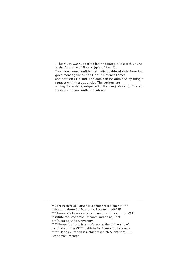\* This study was supported by the Strategic Research Council at the Academy of Finland (grant 293445). This paper uses confidential individual-level data from two goverment agencies: the Finnish Defence Forces and Statistics Finland. The data can be obtained by filing a request with these agencies. The authors are willing to assist (jani-petteri.ollikainen@labore.fi). The authors declare no conflict of interest.

\*\* Jani-Petteri Ollikainen is a senior researcher at the Labour Institute for Economic Research LABORE. \*\*\* Tuomas Pekkarinen is a research professor at the VATT Institute for Economic Research and an adjunct professor at Aalto University. \*\*\*\* Roope Uusitalo is a professor at the University of Helsinki and the VATT Institute for Economic Research. \*\*\*\*\* Hanna Virtanen is a chief research scientist at ETLA Economic Research.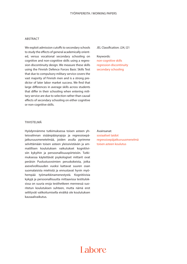#### ABSTRACT

We exploit admission cutoffs to secondary schools to study the effects of general academically oriented, versus vocational secondary schooling on cognitive and non-cognitive skills using a regression discontinuity design. We measure these skills using the Finnish Defence Forces Basic Skills Test that due to compulsory military service covers the vast majority of Finnish men and is a strong predictor of later labor market success. We find that large differences in average skills across students that differ in their schooling when entering military service are due to selection rather than causal effects of secondary schooling on either cognitive or non-cognitive skills.

#### JEL Classification: J24, I21

#### Keywords:

non-cognitive skills regression discontinuity secondary schooling

#### TIIVISTELMÄ

Hyödynnämme tutkimuksessa toisen asteen yhteisvalinnan sisäänpääsyrajoja ja regressioepäjatkuvuusmenetelmää, joiden avulla pyrimme selvittämään toisen asteen yleissivistävän ja ammatillisen koulutuksen vaikutukset kognitiivisiin kykyihin ja persoonallisuuspiirteisiin. Tutkimuksessa käytettävät psykologiset mittarit ovat peräisin Puolustusvoimien peruskokeista, jotka asevelvollisuuden vuoksi kattavat suuren osan suomalaisista miehistä ja ennustavat hyvin myöhempää työmarkkinamenestystä. Kognitiivisia kykyjä ja persoonallisuutta mittaavissa testituloksissa on suuria eroja testihetkeen mennessä suoritetun koulutuksen suhteen, mutta nämä erot selittyvät valikoitumisella eivätkä ole koulutuksen kausaalivaikutus.

Avainsanat: sosiaaliset taidot regressioepäjatkuvuusmenelmä toisen asteen koulutus

## I abore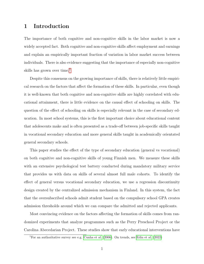## 1 Introduction

The importance of both cognitive and non-cognitive skills in the labor market is now a widely accepted fact. Both cognitive and non-cognitive skills affect employment and earnings and explain an empirically important fraction of variation in labor market success between individuals. There is also evidence suggesting that the importance of especially non-cognitive skills has grown over time.<sup>[1](#page-3-0)</sup>

Despite this consensus on the growing importance of skills, there is relatively little empirical research on the factors that affect the formation of these skills. In particular, even though it is well-known that both cognitive and non-cognitive skills are highly correlated with educational attainment, there is little evidence on the causal effect of schooling on skills. The question of the effect of schooling on skills is especially relevant in the case of secondary education. In most school systems, this is the first important choice about educational content that adolescents make and is often presented as a trade-off between job-specific skills taught in vocational secondary education and more general skills taught in academically orientated general secondary schools.

This paper studies the effect of the type of secondary education (general vs vocational) on both cognitive and non-cognitive skills of young Finnish men. We measure these skills with an extensive psychological test battery conducted during mandatory military service that provides us with data on skills of several almost full male cohorts. To identify the effect of general versus vocational secondary education, we use a regression discontinuity design created by the centralized admission mechanism in Finland. In this system, the fact that the oversubscribed schools admit student based on the compulsory school GPA creates admission thresholds around which we can compare the admitted and rejected applicants.

Most convincing evidence on the factors affecting the formation of skills comes from randomized experiments that analyze programmes such as the Perry Preschool Project or the Carolina Abecedarian Project. These studies show that early educational interventions have

<span id="page-3-0"></span><sup>&</sup>lt;sup>1</sup>For an authoritative survey see e.g. [Cunha et al.](#page-33-0)  $(2006)$ . On trends, see [Edin et al.](#page-33-1)  $(2022)$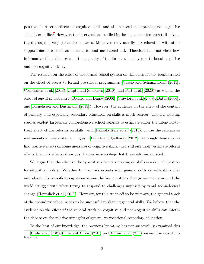positive short-term effects on cognitive skills and also succeed in improving non-cognitive skills later in life.<sup>[2](#page-4-0)</sup> However, the interventions studied in these papers often target disadvantaged groups in very particular contexts. Moreover, they usually mix education with other support measures such as home visits and nutritional aid. Therefore it is not clear how informative this evidence is on the capacity of the formal school system to boost cognitive and non-cognitive skills.

The research on the effect of the formal school system on skills has mainly concentrated on the effect of access to formal pre-school programmes [\(Cascio and Schanzenbach \(2013\)](#page-33-2), [Cornelissen et al. \(2018\)](#page-33-3), [Gupta and Simonsen \(2010\)](#page-34-0), and [Fort et al. \(2020\)](#page-34-1)) as well as the effect of age at school entry [\(Bedard and Dhuey \(2006\)](#page-32-0), [Crawford et al. \(2007\)](#page-33-4), [Datar \(2006\)](#page-33-5), and [Cornelissen and Dustmann \(2019\)](#page-33-6)). However, the evidence on the effect of the content of primary and, especially, secondary education on skills is much scarcer. The few existing studies exploit large-scale comprehensive school reforms to estimate either the intention-totreat effect of the reforms on skills, as in [Pekkala Kerr et al. \(2013\)](#page-34-2), or use the reforms as instruments for years of schooling as in [Brinch and Galloway \(2012\)](#page-32-1). Although these studies find positive effects on some measures of cognitive skills, they still essentially estimate reform effects that mix effects of various changes in schooling that these reforms entailed.

We argue that the effect of the type of secondary schooling on skills is a crucial question for education policy. Whether to train adolescents with general skills or with skills that are relevant for specific occupations is one the key questions that governments around the world struggle with when trying to respond to challenges imposed by rapid technological change [\(Hanushek et al., 2017\)](#page-34-3). However, for this trade-off to be relevant, the general track of the secondary school needs to be successful in shaping general skills. We believe that the evidence on the effect of the general track on cognitive and non-cognitive skills can inform the debate on the relative strengths of general vs vocational secondary education.

<span id="page-4-0"></span>To the best of our knowledge, the previous literature has not successfully examined this

<sup>&</sup>lt;sup>2</sup>[Cunha et al.](#page-33-0) [\(2006\)](#page-33-0), [Currie and Almond](#page-33-7) [\(2011\)](#page-32-2), and [Almlund et al.](#page-32-2) (2011) are useful surveys of this literature.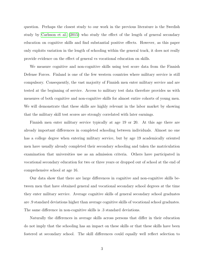question. Perhaps the closest study to our work in the previous literature is the Swedish study by [Carlsson et al. \(2015\)](#page-33-8) who study the effect of the length of general secondary education on cognitive skills and find substantial positive effects. However, as this paper only exploits variation in the length of schooling within the general track, it does not really provide evidence on the effect of general vs vocational education on skills.

We measure cognitive and non-cognitive skills using test score data from the Finnish Defense Forces. Finland is one of the few western countries where military service is still compulsory. Consequently, the vast majority of Finnish men enter military service and are tested at the beginning of service. Access to military test data therefore provides us with measures of both cognitive and non-cognitive skills for almost entire cohorts of young men. We will demonstrate that these skills are highly relevant in the labor market by showing that the military skill test scores are strongly correlated with later earnings.

Finnish men enter military service typically at age 19 or 20. At this age there are already important differences in completed schooling between individuals. Almost no one has a college degree when entering military service, but by age 19 academically oriented men have usually already completed their secondary schooling and taken the matriculation examination that universities use as an admission criteria. Others have participated in vocational secondary education for two or three years or dropped out of school at the end of comprehensive school at age 16.

Our data show that there are large differences in cognitive and non-cognitive skills between men that have obtained general and vocational secondary school degrees at the time they enter military service. Average cognitive skills of general secondary school graduates are .9 standard deviations higher than average cognitive skills of vocational school graduates. The same difference in non-cognitive skills is .3 standard deviations.

Naturally the differences in average skills across persons that differ in their education do not imply that the schooling has an impact on these skills or that these skills have been fostered at secondary school. The skill differences could equally well reflect selection to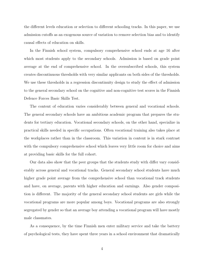the different levels education or selection to different schooling tracks. In this paper, we use admission cutoffs as an exogenous source of variation to remove selection bias and to identify causal effects of education on skills.

In the Finnish school system, compulsory comprehensive school ends at age 16 after which most students apply to the secondary schools. Admission is based on grade point average at the end of comprehensive school. In the oversubscribed schools, this system creates discontinuous thresholds with very similar applicants on both sides of the thresholds. We use these thresholds in a regression discontinuity design to study the effect of admission to the general secondary school on the cognitive and non-cognitive test scores in the Finnish Defence Forces Basic Skills Test.

The content of education varies considerably between general and vocational schools. The general secondary schools have an ambitious academic program that prepares the students for tertiary education. Vocational secondary schools, on the other hand, specialize in practical skills needed in specific occupations. Often vocational training also takes place at the workplaces rather than in the classroom. This variation in content is in stark contrast with the compulsory comprehensive school which leaves very little room for choice and aims at providing basic skills for the full cohort.

Our data also show that the peer groups that the students study with differ vary considerably across general and vocational tracks. General secondary school students have much higher grade point average from the comprehensive school than vocational track students and have, on average, parents with higher education and earnings. Also gender composition is different. The majority of the general secondary school students are girls while the vocational programs are more popular among boys. Vocational programs are also strongly segregated by gender so that an average boy attending a vocational program will have mostly male classmates.

As a consequence, by the time Finnish men enter military service and take the battery of psychological tests, they have spent three years in a school environment that dramatically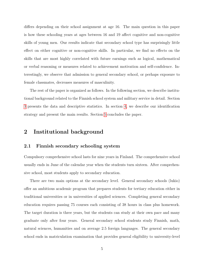differs depending on their school assignment at age 16. The main question in this paper is how these schooling years at ages between 16 and 19 affect cognitive and non-cognitive skills of young men. Our results indicate that secondary school type has surprisingly little effect on either cognitive or non-cognitive skills. In particular, we find no effects on the skills that are most highly correlated with future earnings such as logical, mathematical or verbal reasoning or measures related to achievement motivation and self-confidence. Interestingly, we observe that admission to general secondary school, or perhaps exposure to female classmates, decreases measures of masculinity.

The rest of the paper is organized as follows. In the following section, we describe institutional background related to the Finnish school system and military service in detail. Section [3](#page-10-0) presents the data and descriptive statistics. In section [4,](#page-19-0) we describe our identification strategy and present the main results. Section [5](#page-31-0) concludes the paper.

## 2 Institutional background

#### 2.1 Finnish secondary schooling system

Compulsory comprehensive school lasts for nine years in Finland. The comprehensive school usually ends in June of the calendar year when the students turn sixteen. After comprehensive school, most students apply to secondary education.

There are two main options at the secondary level. General secondary schools (lukio) offer an ambitious academic program that prepares students for tertiary education either in traditional universities or in universities of applied sciences. Completing general secondary education requires passing 75 courses each consisting of 38 hours in class plus homework. The target duration is three years, but the students can study at their own pace and many graduate only after four years. General secondary school students study Finnish, math, natural sciences, humanities and on average 2.5 foreign languages. The general secondary school ends in matriculation examination that provides general eligibility to university-level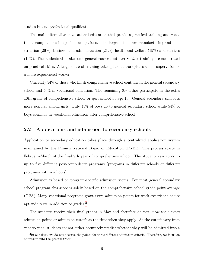studies but no professional qualifications.

The main alternative is vocational education that provides practical training and vocational competences in specific occupations. The largest fields are manufacturing and construction  $(26\%)$ ; business and administration  $(21\%)$ , health and welfare  $(19\%)$  and services (19%). The students also take some general courses but over 80 % of training is concentrated on practical skills. A large share of training takes place at workplaces under supervision of a more experienced worker.

Currently 54% of those who finish comprehensive school continue in the general secondary school and 40% in vocational education. The remaining 6% either participate in the extra 10th grade of comprehensive school or quit school at age 16. General secondary school is more popular among girls. Only 43% of boys go to general secondary school while 54% of boys continue in vocational education after comprehensive school.

## 2.2 Applications and admission to secondary schools

Application to secondary education takes place through a centralized application system maintained by the Finnish National Board of Education (FNBE). The process starts in February-March of the final 9th year of comprehensive school. The students can apply to up to five different post-compulsory programs (programs in different schools or different programs within schools).

Admission is based on program-specific admission scores. For most general secondary school program this score is solely based on the comprehensive school grade point average (GPA). Many vocational programs grant extra admission points for work experience or use aptitude tests in addition to grades.[3](#page-8-0)

The students receive their final grades in May and therefore do not know their exact admission points or admission cutoffs at the time when they apply. As the cutoffs vary from year to year, students cannot either accurately predict whether they will be admitted into a

<span id="page-8-0"></span><sup>&</sup>lt;sup>3</sup>In our data, we do not observe the points for these different admission criteria. Therefore, we focus on admission into the general track.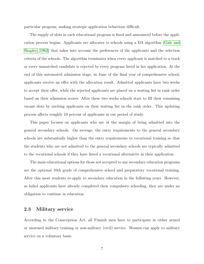particular program, making strategic application behaviour difficult.

The supply of slots in each educational program is fixed and announced before the application process begins. Applicants are allocates to schools using a DA algorithm [\(Gale and](#page-34-4) [Shapley, 1962\)](#page-34-4) that takes into account the preferences of the applicants and the selection criteria of the schools. The algorithm terminates when every applicant is matched to a track or every unmatched candidate is rejected by every program listed in her application. At the end of this automated admission stage, in June of the final year of comprehensive school, applicants receive an offer with the allocation result. Admitted applicants have two weeks to accept their offer, while the rejected applicants are placed on a waiting list in rank order based on their admission scores. After these two weeks schools start to fill their remaining vacant slots by inviting applicants on their waiting list in the rank order. This updating process affects roughly 10 percent of applicants in our period of study.

This paper focuses on applicants who are at the margin of being admitted into the general secondary schools. On average, the entry requirements to the general secondary schools are substantially higher than the entry requirements to vocational training so that the students who are not admitted to the general secondary schools are typically admitted to the vocational schools if they have listed a vocational alternative in their application.

The main educational options for those not accepted to any secondary education programs are the optional 10th grade of comprehensive school and preparatory vocational training. After this most students re-apply to secondary education in the following years. However, as failed applicants have already completed their compulsory schooling, they are under no obligation to continue in education.

#### 2.3 Military service

According to the Conscription Act, all Finnish men have to participate in either armed or unarmed military training or non-military (civil) service. Women can apply to military service on a voluntary basis.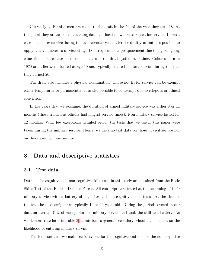Currently all Finnish men are called to the draft in the fall of the year they turn 18. At this point they are assigned a starting date and location where to report for service. In most cases men enter service during the two calendar years after the draft year but it is possible to apply as a volunteer to service at age 18 of request for a postponement due to e.g. on-going education. There have been some changes in the draft system over time. Cohorts born in 1970 or earlier were drafted at age 19 and typically entered military service during the year they turned 20.

The draft also includes a physical examination. Those not fit for service can be exempt either temporarily or permanently. It is also possible to be exempt due to religious or ethical conviction.

In the years that we examine, the duration of armed military service was either 8 or 11 months (those trained as officers had longest service times). Non-military service lasted for 12 months. With few exceptions detailed below, the tests that we use in this paper were taken during the military service. Hence, we have no test data on those in civil service nor on those exempt from service.

## <span id="page-10-0"></span>3 Data and descriptive statistics

#### 3.1 Test data

Data on the cognitive and non-cognitive skills used in this study are obtained from the Basic Skills Test of the Finnish Defence Forces. All conscripts are tested at the beginning of their military service with a battery of cognitive and non-cognitive skills tests. At the time of the test these conscripts are typically 19 or 20 years old. During the period covered in our data on average 70% of men performed military service and took the skill test battery. As we demonstrate later in Table [3,](#page-26-0) admission to general secondary school has no effect on the likelihood of entering military service.

The test contains two main sections: one for the cognitive and one for the non-cognitive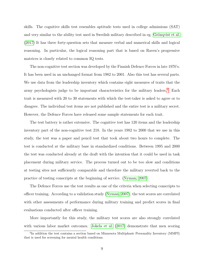skills. The cognitive skills test resembles aptitude tests used in college admissions (SAT) and very similar to the ability test used in Swedish military described in eg. Grönqvist et al. [\(2017\)](#page-34-5) It has three forty-question sets that measure verbal and numerical skills and logical reasoning. In particular, the logical reasoning part that is based on Raven's progressive matrices is closely related to common IQ tests.

The non-cognitive test section was developed by the Finnish Defence Forces in late 1970's. It has been used in an unchanged format from 1982 to 2001. Also this test has several parts. We use data from the leadership inventory which contains eight measures of traits that the army psychologists judge to be important characteristics for the military leaders.<sup>[4](#page-11-0)</sup> Each trait is measured with 20 to 30 statements with which the test-taker is asked to agree or to disagree. The individual test items are not published and the entire test is a military secret. However, the Defence Forces have released some sample statements for each trait.

The test battery is rather extensive. The cognitive test has 120 items and the leadership inventory part of the non-cognitive test 218. In the years 1982 to 2000 that we use in this study, the test was a paper and pencil test that took about two hours to complete. The test is conducted at the military base in standardized conditions. Between 1995 and 2000 the test was conducted already at the draft with the intention that it could be used in task placement during military service. The process turned out to be too slow and conditions at testing sites not sufficiently comparable and therefore the military reverted back to the practice of testing conscripts at the beginning of service. [\(Nyman, 2007\)](#page-34-6)

The Defence Forces use the test results as one of the criteria when selecting conscripts to officer training. According to a validation study [\(Nyman, 2007\)](#page-34-6), the test scores are correlated with other assessments of performance during military training and predict scores in final evaluations conducted after officer training.

More importantly for this study, the military test scores are also strongly correlated with various labor market outcomes. [Jokela et al. \(2017\)](#page-34-7) demonstrate that men scoring

<span id="page-11-0"></span><sup>&</sup>lt;sup>4</sup>In addition the test contains a section based on Minnesota Multiphasic Personality Inventory (MMPI) that is used for screening for mental health conditions.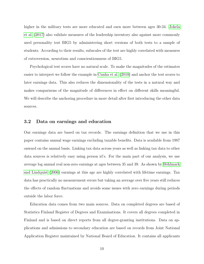higher in the military tests are more educated and earn more between ages 30-34. [Jokela](#page-34-7) [et al. \(2017\)](#page-34-7) also validate measures of the leadership inventory also against more commonly used personality test BIG5 by administering short versions of both tests to a sample of students. According to their results, subscales of the test are highly correlated with measures of extroversion, neurotism and conscientiousness of BIG5.

Psychological test scores have no natural scale. To make the magnitudes of the estimates easier to interpret we follow the example in [Cunha et al. \(2010\)](#page-33-9) and anchor the test scores to later earnings data. This also reduces the dimensionality of the tests in a natural way and makes comparisons of the magnitude of differences in effect on different skills meaningful. We will describe the anchoring procedure in more detail after first introducing the other data sources.

#### 3.2 Data on earnings and education

Our earnings data are based on tax records. The earnings definition that we use in this paper contains annual wage earnings excluding taxable benefits. Data is available from 1987 onward on the annual basis. Linking tax data across years as well as linking tax data to other data sources is relatively easy using person id's. For the main part of our analysis, we use average log annual real non-zero earnings at ages between 35 and 39. As shown by Böhlmark [and Lindquist \(2006\)](#page-32-3) earnings at this age are highly correlated with lifetime earnings. Tax data has practically no measurement errors but taking an average over five years still reduces the effects of random fluctuations and avoids some issues with zero earnings during periods outside the labor force.

Education data comes from two main sources. Data on completed degrees are based of Statistics Finland Register of Degrees and Examinations. It covers all degrees completed in Finland and is based on direct reports from all degree-granting institutions. Data on applications and admissions to secondary education are based on records from Joint National Application Register maintained by National Board of Education. It contains all applicants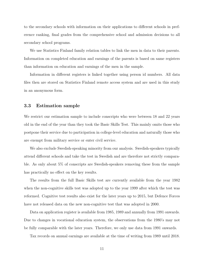to the secondary schools with information on their applications to different schools in preference ranking, final grades from the comprehensive school and admission decisions to all secondary school programs.

We use Statistics Finland family relation tables to link the men in data to their parents. Information on completed education and earnings of the parents is based on same registers than information on education and earnings of the men in the sample.

Information in different registers is linked together using person id numbers. All data files then are stored on Statistics Finland remote access system and are used in this study in an anonymous form.

#### <span id="page-13-0"></span>3.3 Estimation sample

We restrict our estimation sample to include conscripts who were between 18 and 22 years old in the end of the year than they took the Basic Skills Test. This mainly omits those who postpone their service due to participation in college-level education and naturally those who are exempt from military service or enter civil service.

We also exclude Swedish-speaking minority from our analysis. Swedish-speakers typically attend different schools and take the test in Swedish and are therefore not strictly comparable. As only about 5% of conscripts are Swedish-speakers removing these from the sample has practically no effect on the key results.

The results from the full Basic Skills test are currently available from the year 1982 when the non-cognitive skills test was adopted up to the year 1999 after which the test was reformed. Cognitive test results also exist for the later years up to 2015, but Defence Forces have not released data on the new non-cognitive test that was adopted in 2000.

Data on application register is available from 1985, 1989 and annually from 1991 onwards. Due to changes in vocational education system, the observations from the 1980's may not be fully comparable with the later years. Therefore, we only use data from 1991 onwards.

Tax records on annual earnings are available at the time of writing from 1989 until 2018.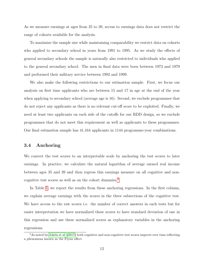As we measure earnings at ages from 35 to 39, access to earnings data does not restrict the range of cohorts available for the analysis.

To maximize the sample size while maintaining comparability we restrict data on cohorts who applied to secondary school in years from 1991 to 1995. As we study the effects of general secondary schools the sample is naturally also restricted to individuals who applied to the general secondary school. The men in final data were born between 1973 and 1979 and performed their military service between 1992 and 1999.

We also make the following restrictions to our estimation sample. First, we focus our analysis on first time applicants who are between 15 and 17 in age at the end of the year when applying to secondary school (average age is 16). Second, we exclude programmes that do not reject any applicants as there is no relevant cut-off score to be exploited. Finally, we need at least two applicants on each side of the cutoffs for our RDD design, so we exclude programmes that do not meet this requirement as well as applicants to these programmes. Our final estimation sample has 41,164 applicants in 1144 programme-year combinations.

#### <span id="page-14-1"></span>3.4 Anchoring

We convert the test scores to an interpretable scale by anchoring the test scores to later earnings. In practice, we calculate the natural logarithm of average earned real income between ages 35 and 39 and then regress this earnings measure on all cognitive and non-cognitive test scores as well as on the cohort dummies.<sup>[5](#page-14-0)</sup>

In Table [1,](#page-15-0) we report the results from these anchoring regressions. In the first column, we explain average earnings with the scores in the three subsections of the cognitive test. We have access to the raw scores i.e. the number of correct answers in each tests but for easier interpretation we have normalized these scores to have standard deviation of one in this regression and use these normalized scores as explanatory variables in the anchoring regressions.

<span id="page-14-0"></span><sup>5</sup>As noted by [Jokela et al.](#page-34-7) [\(2017\)](#page-34-7) both cognitive and non-cognitive test scores improve over time reflecting a phenomena known as the Flynn effect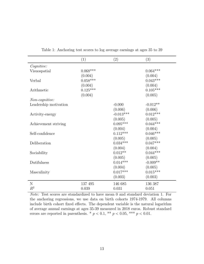<span id="page-15-0"></span>

|                       | (1)        | (2)         | (3)        |
|-----------------------|------------|-------------|------------|
| Cognitive:            |            |             |            |
| Visuospatial          | $0.068***$ |             | $0.064***$ |
|                       | (0.004)    |             | (0.004)    |
| Verbal                | $0.058***$ |             | $0.043***$ |
|                       | (0.004)    |             | (0.004)    |
| Arithmetic            | $0.125***$ |             | $0.105***$ |
|                       | (0.004)    |             | (0.005)    |
| Non-cognitive:        |            |             |            |
| Leadership motivation |            | $-0.000$    | $-0.012**$ |
|                       |            | (0.006)     | (0.006)    |
| Activity-energy       |            | $-0.013***$ | $0.012***$ |
|                       |            | (0.005)     | (0.005)    |
| Achievement striving  |            | $0.095***$  | $0.044***$ |
|                       |            | (0.004)     | (0.004)    |
| Self-confidence       |            | $0.112***$  | $0.046***$ |
|                       |            | (0.005)     | (0.005)    |
| Deliberation          |            | $0.034***$  | $0.047***$ |
|                       |            | (0.004)     | (0.004)    |
| Sociability           |            | $0.012**$   | $0.044***$ |
|                       |            | (0.005)     | (0.005)    |
| Dutifulness           |            | $0.014***$  | $-0.009**$ |
|                       |            | (0.004)     | (0.005)    |
| Masculinity           |            | $0.017***$  | $0.015***$ |
|                       |            | (0.003)     | (0.003)    |
| $\mathbf N$           | 137 495    | 146 685     | 136 387    |
| $R^2$                 | 0.039      | 0.031       | 0.051      |

Table 1: Anchoring test scores to log average earnings at ages 35 to 39

Note: Test scores are standardized to have mean 0 and standard deviation 1. For the anchoring regressions, we use data on birth cohorts 1974-1979. All columns include birth cohort fixed effects. The dependent variable is the natural logarithm of average annual earnings at ages 35-39 measured in 2018 euros. Robust standard errors are reported in parenthesis. \*  $p < 0.1$ , \*\*  $p < 0.05$ , \*\*\*  $p < 0.01$ .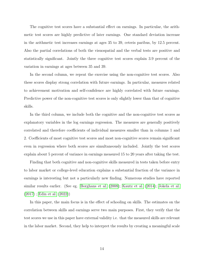The cognitive test scores have a substantial effect on earnings. In particular, the arithmetic test scores are highly predictive of later earnings. One standard deviation increase in the arithmetic test increases earnings at ages 35 to 39, ceteris paribus, by 12.5 percent. Also the partial correlations of both the visuospatial and the verbal tests are positive and statistically significant. Jointly the three cognitive test scores explain 3.9 percent of the variation in earnings at ages between 35 and 39.

In the second column, we repeat the exercise using the non-cognitive test scores. Also these scores display strong correlation with future earnings. In particular, measures related to achievement motivation and self-confidence are highly correlated with future earnings. Predictive power of the non-cognitive test scores is only slightly lower than that of cognitive skills.

In the third column, we include both the cognitive and the non-cognitive test scores as explanatory variables in the log earnings regression. The measures are generally positively correlated and therefore coefficients of individual measures smaller than in columns 1 and 2. Coefficients of most cognitive test scores and most non-cognitive scores remain significant even in regression where both scores are simultaneously included. Jointly the test scores explain about 5 percent of variance in earnings measured 15 to 20 years after taking the test.

Finding that both cognitive and non-cognitive skills measured in tests taken before entry to labor market or college-level education explains a substantial fraction of the variance in earnings is interesting but not a particularly new finding. Numerous studies have reported similar results earlier. (See eg. [Borghans et al. \(2008\)](#page-32-4); [Kautz et al. \(2014\)](#page-34-8); [Jokela et al.](#page-34-7) [\(2017\)](#page-34-7); [Edin et al. \(2022\)](#page-33-1))

In this paper, the main focus is in the effect of schooling on skills. The estimates on the correlation between skills and earnings serve two main purposes. First, they verify that the test scores we use in this paper have external validity i.e. that the measured skills are relevant in the labor market. Second, they help to interpret the results by creating a meaningful scale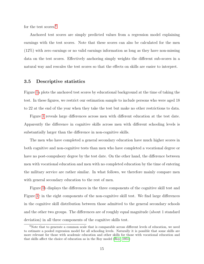for the test scores.<sup>[6](#page-17-0)</sup>

Anchored test scores are simply predicted values from a regression model explaining earnings with the test scores. Note that these scores can also be calculated for the men (12%) with zero earnings or no valid earnings information as long as they have non-missing data on the test scores. Effectively anchoring simply weights the different sub-scores in a natural way and rescales the test scores so that the effects on skills are easier to interpret.

#### 3.5 Descriptive statistics

Figure [1a](#page-18-0) plots the anchored test scores by educational background at the time of taking the test. In these figures, we restrict our estimation sample to include persons who were aged 18 to 22 at the end of the year when they take the test but make no other restrictions to data.

Figure [1](#page-18-0) reveals large differences across men with different education at the test date. Apparently the difference in cognitive skills across men with different schooling levels is substantially larger than the difference in non-cognitive skills.

The men who have completed a general secondary education have much higher scores in both cognitive and non-cognitive tests than men who have completed a vocational degree or have no post-compulsory degree by the test date. On the other hand, the difference between men with vocational education and men with no completed education by the time of entering the military service are rather similar. In what follows, we therefore mainly compare men with general secondary education to the rest of men.

Figure [1b](#page-18-0) displays the differences in the three components of the cognitive skill test and Figure [1c](#page-18-0) in the eight components of the non-cognitive skill test. We find large differences in the cognitive skill distribution between those admitted to the general secondary schools and the other two groups. The differences are of roughly equal magnitude (about 1 standard deviation) in all three components of the cognitive skills test.

<span id="page-17-0"></span><sup>&</sup>lt;sup>6</sup>Note that to generate a common scale that is comparable across different levels of education, we need to estimate a pooled regression model for all schooling levels. Naturally it is possible that some skills are more relevant for those with academic education and other skills for those with vocational education and that skills affect the choice of education as in the Roy model [\(Roy, 1951\)](#page-34-9)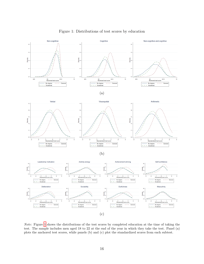<span id="page-18-0"></span>

Note: Figure [1](#page-18-0) shows the distributions of the test scores by completed education at the time of taking the test. The sample includes men aged 18 to 22 at the end of the year in which they take the test. Panel (a) plots the anchored test scores, while panels (b) and (c) plot the standardized scores from each subtest.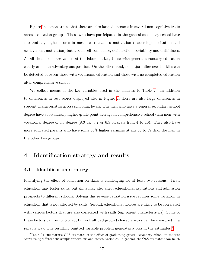Figure [1c](#page-18-0) demonstrates that there are also large differences in several non-cognitive traits across education groups. Those who have participated in the general secondary school have substantially higher scores in measures related to motivation (leadership motivation and achievement motivation) but also in self-confidence, deliberation, sociability and dutifulness. As all these skills are valued at the labor market, those with general secondary education clearly are in an advantageous position. On the other hand, no major differences in skills can be detected between those with vocational education and those with no completed education after comprehensive school.

We collect means of the key variables used in the analysis to Table [2.](#page-20-0) In addition to differences in test scores displayed also in Figure [1,](#page-18-0) there are also large differences in student characteristics across schooling levels. The men who have a general secondary school degree have substantially higher grade point average in comprehensive school than men with vocational degree or no degree (8.3 vs. 6.7 or 6.5 on scale from 4 to 10). They also have more educated parents who have some 50% higher earnings at age 35 to 39 than the men in the other two groups.

## <span id="page-19-0"></span>4 Identification strategy and results

#### 4.1 Identification strategy

Identifying the effect of education on skills is challenging for at least two reasons. First, education may foster skills, but skills may also affect educational aspirations and admission prospects to different schools. Solving this reverse causation issue requires some variation in education that is not affected by skills. Second, educational choices are likely to be correlated with various factors that are also correlated with skills (eg. parent characteristics). Some of these factors can be controlled, but not all background characteristics can be measured in a reliable way. The resulting omitted variable problem generates a bias in the estimates.[7](#page-19-1)

<span id="page-19-1"></span><sup>7</sup>Table [A1](#page-36-0) summarizes OLS estimates of the effect of graduating general secondary school on the test scores using different the sample restrictions and control variables. In general, the OLS estimates show much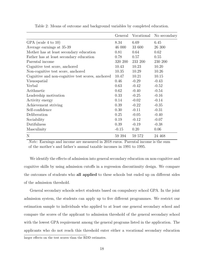<span id="page-20-0"></span>

|                                                   | General | Vocational | No secondary |
|---------------------------------------------------|---------|------------|--------------|
| GPA (scale 4 to 10)                               | 8.34    | 6.69       | 6.45         |
| Average earnings at 35-39                         | 46 000  | 33 600     | 26 300       |
| Mother has at least secondary education           | 0.81    | 0.64       | 0.62         |
| Father has at least secondary education           | 0.78    | 0.57       | 0.55         |
| Parental income                                   | 320 200 | 233 200    | 230 200      |
| Cognitive test score, anchored                    | 10.43   | 10.23      | 10.20        |
| Non-cognitive test score, anchored                | 10.35   | 10.29      | 10.26        |
| Cognitive and non-cognitive test scores, anchored | 10.47   | 10.21      | 10.15        |
| Visuospatial                                      | 0.46    | $-0.29$    | $-0.43$      |
| Verbal                                            | 0.63    | $-0.42$    | $-0.52$      |
| Arithmetic                                        | 0.62    | $-0.40$    | $-0.54$      |
| Leadership motivation                             | 0.33    | $-0.25$    | $-0.16$      |
| Activity energy                                   | 0.14    | $-0.02$    | $-0.14$      |
| Achievement striving                              | 0.39    | $-0.22$    | $-0.35$      |
| Self-confidence                                   | 0.30    | $-0.11$    | $-0.31$      |
| Deliberation                                      | 0.25    | $-0.05$    | $-0.40$      |
| Sociability                                       | 0.19    | $-0.12$    | $-0.07$      |
| Dutifulness                                       | 0.39    | $-0.19$    | $-0.38$      |
| Masculinity                                       | $-0.15$ | 0.20       | 0.06         |
| N                                                 | 59 394  | 59 572     | 24 468       |

Table 2: Means of outcome and background variables by completed education.

Note: Earnings and income are measured in 2018 euros. Parental income is the sum of the mother's and father's annual taxable incomes in 1991 to 1995.

We identify the effects of admission into general secondary education on non-cognitive and cognitive skills by using admission cutoffs in a regression discontinuity design. We compare the outcomes of students who all applied to these schools but ended up on different sides of the admission threshold.

General secondary schools select students based on compulsory school GPA. In the joint admission system, the students can apply up to five different programmes. We restrict our estimation sample to individuals who applied to at least one general secondary school and compare the scores of the applicant to admission threshold of the general secondary school with the lowest GPA requirement among the general programs listed in the application. The applicants who do not reach this threshold enter either a vocational secondary education larger effects on the test scores than the RDD estimates.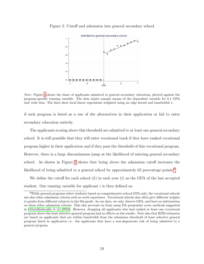

<span id="page-21-0"></span>Figure 2: Cutoff and admission into general secondary school

Note: Figure [2](#page-21-0) shows the share of applicants admitted to general secondary education, plotted against the program-specific running variable. The dots depict sample means of the dependent variable for 0.1 GPA unit wide bins. The lines show local linear regressions weighted using an edge kernel and bandwidth 1.

if such program is listed as a one of the alternatives in their application or fail to enter secondary education entirely.

The applicants scoring above this threshold are admitted to at least one general secondary school. It is still possible that they will enter vocational track if they have ranked vocational program higher in their application and if they pass the threshold of this vocational program. However, there is a large discontinuous jump at the likelihood of entering general secondary school. As shown in Figure [2](#page-21-0) shows that being above the admission cutoff increases the likelihood of being admitted to a general school by approximately 65 percentage points.<sup>[8](#page-21-1)</sup>

We define the cutoff for each school  $(k)$  in each year  $(t)$  as the GPA of the last accepted student. Our running variable for applicant  $i$  is then defined as:

<span id="page-21-1"></span><sup>8</sup>While general programs select students based on comprehensive school GPA only, the vocational schools use also other admission criteria such as work experience. Vocational schools also often give different weights to grades from different subjects in the 9th grade. In our data, we only observe GPA, and have no information on these other admission criteria. This also prevents us from using DA propensity score methods suggested in (Abdulkadıroğlu et al., 2022). However, dropping all applicants who had ranked at least one vocational program above the least selective general program had no effects on the results. Note also that RDD estimates are based on applicants that are within bandwidth from the admission threshold of least selective general program listed in application i.e. the applicants that have a non-degenerate risk of being admitted to a general program.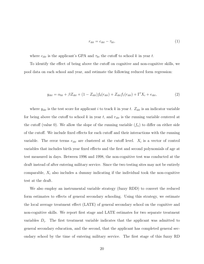<span id="page-22-0"></span>
$$
r_{ikt} = c_{ikt} - \tau_{kt},\tag{1}
$$

where  $c_{ikt}$  is the applicant's GPA and  $\tau_{kt}$  the cutoff to school k in year t.

To identify the effect of being above the cutoff on cognitive and non-cognitive skills, we pool data on each school and year, and estimate the following reduced form regression:

$$
y_{ikt} = \alpha_{kt} + \beta Z_{ikt} + (1 - Z_{ikt})f_0(r_{ikt}) + Z_{ikt}f_1(r_{ikt}) + \Gamma'X_i + e_{ikt},\tag{2}
$$

where  $y_{ikt}$  is the test score for applicant i to track k in year t.  $Z_{ikt}$  is an indicator variable for being above the cutoff to school k in year t, and  $r_{ikt}$  is the running variable centered at the cutoff (value 0). We allow the slope of the running variable  $(f_n)$  to differ on either side of the cutoff. We include fixed effects for each cutoff and their interactions with the running variable. The error terms  $e_{ikt}$  are clustered at the cutoff level.  $X_i$  is a vector of control variables that includes birth year fixed effects and the first and second polynomials of age at test measured in days. Between 1996 and 1998, the non-cognitive test was conducted at the draft instead of after entering military service. Since the two testing sites may not be entirely comparable,  $X_i$  also includes a dummy indicating if the individual took the non-cognitive test at the draft.

We also employ an instrumental variable strategy (fuzzy RDD) to convert the reduced form estimates to effects of general secondary schooling. Using this strategy, we estimate the local average treatment effect (LATE) of general secondary school on the cognitive and non-cognitive skills. We report first stage and LATE estimates for two separate treatment variables  $D_i$ . The first treatment variable indicates that the applicant was admitted to general secondary education, and the second, that the applicant has completed general secondary school by the time of entering military service. The first stage of this fuzzy RD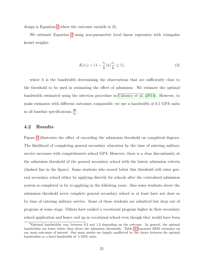design is Equation [2](#page-22-0) where the outcome variable is  $D_i$ .

We estimate Equation [2](#page-22-0) using non-parametric local linear regression with triangular kernel weights:

$$
K(r_i) = \left(1 - \frac{r_i}{h}\right) \mathbb{1}\left(\frac{r_i}{h} \le 1\right),\tag{3}
$$

where h is the bandwidth determining the observations that are sufficiently close to the threshold to be used in estimating the effect of admission. We estimate the optimal bandwidth estimated using the selection procedure in [Calonico et al. \(2014\)](#page-32-6). However, to make estimates with different outcomes comparable, we use a bandwidth of 0.5 GPA units in all baseline specifications. [9](#page-23-0)

#### 4.2 Results

Figure [3](#page-24-0) illustrates the effect of exceeding the admission threshold on completed degrees. The likelihood of completing general secondary education by the time of entering military service increases with comprehensive school GPA. However, there is a clear discontinuity at the admission threshold of the general secondary school with the lowest admission criteria (dashed line in the figure). Some students who scored below this threshold still enter general secondary school either by applying directly for schools after the centralized admission system is completed or by re-applying in the following years. Also some students above the admission threshold never complete general secondary school or at least have not done so by time of entering military service. Some of these students are admitted but drop out of program at some stage. Others have ranked a vocational program higher in their secondary school application and hence end up in vocational school even though they would have been

<span id="page-23-0"></span><sup>9</sup>Optimal bandwidths vary between 0.3 and 1.3 depending on the outcome. In general, the optimal bandwidths are lower below than above the admission thresholds. Table [A2](#page-39-0) presents RDD estimates on our main outcomes of interest. Our main results are largely unaffected by the choice between the optimal bandwidths or a fixed bandwidth of .5 GPA units.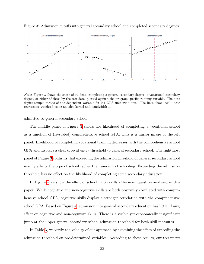<span id="page-24-0"></span>

Figure 3: Admission cutoffs into general secondary school and completed secondary degrees.

Note: Figure [3](#page-24-0) shows the share of students completing a general secondary degree, a vocational secondary degree, or either of these by the test date, plotted against the program-specific running variable. The dots depict sample means of the dependent variable for 0.1 GPA unit wide bins. The lines show local linear regressions weighted using an edge kernel and bandwidth 1.

admitted to general secondary school.

The middle panel of Figure [3](#page-24-0) shows the likelihood of completing a vocational school as a function of (re-scaled) comprehensive school GPA. This is a mirror image of the left panel. Likelihood of completing vocational training decreases with the comprehensive school GPA and displays a clear drop at entry threshold to general secondary school. The rightmost panel of Figure [3](#page-24-0) confirms that exceeding the admission threshold of general secondary school mainly affects the type of school rather than amount of schooling. Exceeding the admission threshold has no effect on the likelihood of completing some secondary education.

In Figure [4](#page-25-0) we show the effect of schooling on skills - the main question analysed in this paper. While cognitive and non-cognitive skills are both positively correlated with comprehensive school GPA, cognitive skills display a stronger correlation with the comprehensive school GPA. Based on Figure [4,](#page-25-0) admission into general secondary education has little, if any, effect on cognitive and non-cognitive skills. There is a visible yet economically insignificant jump at the upper general secondary school admission threshold for both skill measures.

In Table [3,](#page-26-0) we verify the validity of our approach by examining the effect of exceeding the admission threshold on pre-determined variables. According to these results, our treatment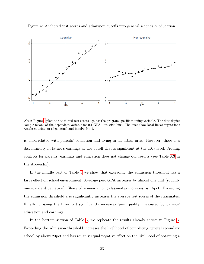<span id="page-25-0"></span>

Figure 4: Anchored test scores and admission cutoffs into general secondary education.

Note: Figure [4](#page-25-0) plots the anchored test scores against the program-specific running variable. The dots depict sample means of the dependent variable for 0.1 GPA unit wide bins. The lines show local linear regressions weighted using an edge kernel and bandwidth 1.

is uncorrelated with parents' education and living in an urban area. However, there is a discontinuity in father's earnings at the cutoff that is significant at the 10% level. Adding controls for parents' earnings and education does not change our results (see Table [A3](#page-41-0) in the Appendix).

In the middle part of Table [3](#page-26-0) we show that exceeding the admission threshold has a large effect on school environment. Average peer GPA increases by almost one unit (roughly one standard deviation). Share of women among classmates increases by 15pct. Exceeding the admission threshold also significantly increases the average test scores of the classmates. Finally, crossing the threshold significantly increases 'peer quality' measured by parents' education and earnings.

In the bottom section of Table [3,](#page-26-0) we replicate the results already shown in Figure [3.](#page-24-0) Exceeding the admission threshold increases the likelihood of completing general secondary school by about 20pct and has roughly equal negative effect on the likelihood of obtaining a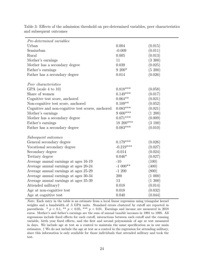<span id="page-26-0"></span>

| Pre-determined variables                          |                    |         |
|---------------------------------------------------|--------------------|---------|
| Urban                                             | 0.004              | (0.015) |
| Semiurban                                         | $-0.009$           | (0.011) |
| Rural                                             | 0.005              | (0.013) |
| Mother's earnings                                 | 11                 | (3 300) |
| Mother has a secondary degree                     | 0.039              | (0.025) |
| Father's earnings                                 | $9\ 200*$          | (5 200) |
| Father has a secondary degree                     | 0.014              | (0.026) |
| Peer characteristics                              |                    |         |
| GPA (scale 4 to 10)                               | $0.818***$         | (0.058) |
| Share of women                                    | $0.149***$         | (0.017) |
| Cognitive test score, anchored                    | $0.064^{\ast\ast}$ | (0.021) |
| Non-cognitive test score, anchored                | $0.109**$          | (0.052) |
| Cognitive and non-cognitive test scores, anchored | $0.083***$         | (0.021) |
| Mother's earnings                                 | 9 600***           | (1 200) |
| Mother has a secondary degree                     | $0.071***$         | (0.009) |
| Father's earnings                                 | 18 200***          | (3100)  |
| Father has a secondary degree                     | $0.083***$         | (0.010) |
| Subsequent outcomes                               |                    |         |
| General secondary degree                          | $0.179***$         | (0.026) |
| Vocational secondary degree                       | $-0.219***$        | (0.027) |
| Secondary degree                                  | $-0.014$           | (0.024) |
| Tertiary degree                                   | $0.046*$           | (0.027) |
| Average annual earnings at ages 16-19             | $-10$              | (100)   |
| Average annual earnings at ages 20-24             | $-1000**$          | (400)   |
| Average annual earnings at ages 25-29             | $-1200$            | (800)   |
| Average annual earnings at ages 30-34             | 200                | (1 000) |
| Average annual earnings at ages 35-39             | 13                 | (1 300) |
| Attended military                                 | 0.018              | (0.014) |
| Age at non-cognitive test                         | 0.018              | (0.032) |
| Age at cognitive test                             | 0.040              | (0.044) |

Table 3: Effects of the admission threshold on pre-determined variables, peer characteristics and subsequent outcomes

Note: Each entry in the table is an estimate from a local linear regression using triangular kernel weights and a bandwidth of .5 GPA units. Standard errors clustered by cutoff are reported in parenthesis. \*  $p < 0.1$ , \*\*  $p < 0.05$ , \*\*\*  $p < 0.01$ . Earnings and income are measured in 2018 euros. Mother's and father's earnings are the sum of annual taxable incomes in 1991 to 1995. All regressions include fixed effects for each cutoff, interactions between each cutoff and the running variable, birth year fixed effects, and the first and second polynomials of age at test measured in days. We include age at test as a control to maintain the same specification as in our main estimates. † We do not include the age at test as a control in the regression for attending military, since this information is only available for those individuals that attended military and took the test.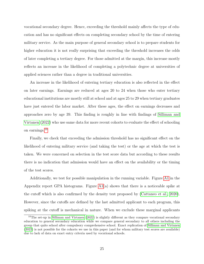vocational secondary degree. Hence, exceeding the threshold mainly affects the type of education and has no significant effects on completing secondary school by the time of entering military service. As the main purpose of general secondary school is to prepare students for higher education it is not really surprising that exceeding the threshold increases the odds of later completing a tertiary degree. For those admitted at the margin, this increase mostly reflects an increase in the likelihood of completing a polytechnic degree at universities of applied sciences rather than a degree in traditional universities.

An increase in the likelihood of entering tertiary education is also reflected in the effect on later earnings. Earnings are reduced at ages 20 to 24 when those who enter tertiary educational institutions are mostly still at school and at ages 25 to 29 when tertiary graduates have just entered the labor market. After these ages, the effect on earnings decreases and approaches zero by age 39. This finding is roughly in line with findings of [Silliman and](#page-34-10) [Virtanen \(2022\)](#page-34-10) who use same data for more recent cohorts to evaluate the effect of schooling on earnings.[10](#page-27-0)

Finally, we check that exceeding the admission threshold has no significant effect on the likelihood of entering military service (and taking the test) or the age at which the test is taken. We were concerned on selection in the test score data but according to these results there is no indication that admission would have an effect on the availability or the timing of the test scores.

Additionally, we test for possible manipulation in the running variable. Figure [A1](#page-38-0) in the Appendix report GPA histograms. Figure  $A1(a)$  shows that there is a noticeable spike at the cutoff which is also confirmed by the density test proposed by [\(Cattaneo et al., 2020\)](#page-33-10). However, since the cutoffs are defined by the last admitted applicant to each program, this spiking at the cutoff is mechanical in nature. When we exclude these marginal applicants

<span id="page-27-0"></span><sup>&</sup>lt;sup>10</sup>The set-up in [Silliman and Virtanen](#page-34-10) [\(2022\)](#page-34-10) is slightly different as they compare vocational secondary education to general secondary education while we compare general secondary to all others including the group that quits school after compulsory comprehensive school. Exact replication of [Silliman and Virtanen](#page-34-10) [\(2022\)](#page-34-10) is not possible for the cohorts we use in this paper (and for whom military test scores are available) due to lack of data on exact entry criteria used by vocational schools.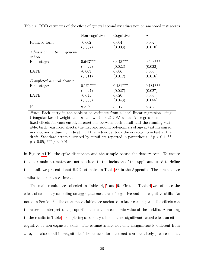<span id="page-28-0"></span>

|                                       | Non-cognitive | Cognitive  | All        |
|---------------------------------------|---------------|------------|------------|
| Reduced form:                         | $-0.002$      | 0.004      | 0.002      |
|                                       | (0.007)       | (0.008)    | (0.010)    |
| Admission<br>to<br>general<br>school: |               |            |            |
| First stage:                          | $0.643***$    | $0.643***$ | $0.643***$ |
|                                       |               |            |            |
|                                       | (0.022)       | (0.022)    | (0.022)    |
| LATE:                                 | $-0.003$      | 0.006      | 0.003      |
|                                       | (0.011)       | (0.012)    | (0.016)    |
| Completed general degree:             |               |            |            |
| First stage:                          | $0.181***$    | $0.181***$ | $0.181***$ |
|                                       | (0.027)       | (0.027)    | (0.027)    |
| LATE:                                 | $-0.011$      | 0.020      | 0.009      |
|                                       | (0.038)       | (0.043)    | (0.055)    |
| N                                     | 8 3 1 7       | 8 3 1 7    | 8 3 1 7    |

Table 4: RDD estimates of the effect of general secondary education on anchored test scores

Note: Each entry in the table is an estimate from a local linear regression using triangular kernel weights and a bandwidth of .5 GPA units. All regressions include fixed effects for each cutoff, interactions between each cutoff and the running variable, birth year fixed effects, the first and second polynomials of age at test measured in days, and a dummy indicating if the individual took the non-cognitive test at the draft. Standard errors clustered by cutoff are reported in parenthesis.  $*$   $p < 0.1$ ,  $**$  $p < 0.05$ , \*\*\*  $p < 0.01$ .

in Figure [A1\(](#page-38-0)b), the spike disappears and the sample passes the density test. To ensure that our main estimates are not sensitive to the inclusion of the applicants used to define the cutoff, we present donut RDD estimates in Table [A3](#page-41-0) in the Appendix. These results are similar to our main estimates.

The main results are collected in Tables [4,](#page-28-0) [5](#page-29-0) and [6.](#page-30-0) First, in Table [4](#page-28-0) we estimate the effect of secondary schooling on aggregate measures of cognitive and non-cognitive skills. As noted in Section [3.4](#page-14-1) the outcome variables are anchored to later earnings and the effects can therefore be interpreted as proportional effects on economic value of these skills. According to the results in Table [4](#page-28-0) completing secondary school has no significant causal effect on either cognitive or non-cognitive skills. The estimates are, not only insignificantly different from zero, but also small in magnitude. The reduced form estimates are relatively precise so that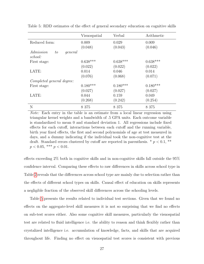<span id="page-29-0"></span>

|                                       | Visuospatial | Verbal     | Arithmetic |
|---------------------------------------|--------------|------------|------------|
| Reduced form:                         | 0.009        | 0.029      | 0.009      |
|                                       | (0.048)      | (0.043)    | (0.046)    |
| Admission<br>to<br>general<br>school: |              |            |            |
| First stage:                          | $0.638***$   | $0.638***$ | $0.638***$ |
|                                       | (0.022)      | (0.022)    | (0.022)    |
| LATE:                                 | 0.014        | 0.046      | 0.014      |
|                                       | (0.076)      | (0.068)    | (0.071)    |
| Completed general degree:             |              |            |            |
| First stage:                          | $0.180***$   | $0.180***$ | $0.180***$ |
|                                       | (0.027)      | (0.027)    | (0.027)    |
| LATE:                                 | 0.044        | 0.159      | 0.049      |
|                                       | (0.268)      | (0.242)    | (0.254)    |
| N                                     | 8 3 7 5      | 8 3 7 5    | 8 3 7 5    |

Table 5: RDD estimates of the effect of general secondary education on cognitive skills

Note: Each entry in the table is an estimate from a local linear regression using triangular kernel weights and a bandwidth of .5 GPA units. Each outcome variable is standardized to mean 0 and standard deviation 1. All regressions include fixed effects for each cutoff, interactions between each cutoff and the running variable, birth year fixed effects, the first and second polynomials of age at test measured in days, and a dummy indicating if the individual took the non-cognitive test at the draft. Standard errors clustered by cutoff are reported in parenthesis.  $*$   $p < 0.1$ ,  $**$  $p < 0.05$ , \*\*\*  $p < 0.01$ .

effects exceeding 2% both in cognitive skills and in non-cognitive skills fall outside the 95% confidence interval. Comparing these effects to raw differences in skills across school type in Table [2](#page-20-0) reveals that the differences across school type are mainly due to selection rather than the effects of different school types on skills. Causal effect of education on skills represents a negligible fraction of the observed skill differences across the schooling levels.

Table [5](#page-29-0) presents the results related to individual test sections. Given that we found no effects on the aggregate-level skill measures it is not so surprising that we find no effects on sub-test scores either. Also some cognitive skill measures, particularly the visuospatial test are related to fluid intelligence i.e. the ability to reason and think flexibly rather than crystalized intelligence i.e. accumulation of knowledge, facts, and skills that are acquired throughout life. Finding no effect on visuospatial test scores is consistent with previous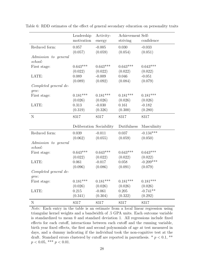<span id="page-30-0"></span>

|                                 | Leadership<br>motivation | Activity-<br>energy | Achievement Self-<br>striving | confidence  |
|---------------------------------|--------------------------|---------------------|-------------------------------|-------------|
| Reduced form:                   | 0.057                    | $-0.005$            | 0.030                         | $-0.033$    |
|                                 | (0.057)                  | (0.059)             | (0.054)                       | (0.051)     |
| Admission to general<br>school: |                          |                     |                               |             |
| First stage:                    | $0.643***$               | $0.643***$          | $0.643***$                    | $0.643***$  |
|                                 | (0.022)                  | (0.022)             | (0.022)                       | (0.022)     |
| LATE:                           | 0.089                    | $-0.009$            | 0.046                         | $-0.051$    |
|                                 | (0.089)                  | (0.092)             | (0.084)                       | (0.079)     |
| Completed general de-<br>gree:  |                          |                     |                               |             |
| First stage:                    | $0.181***$               | $0.181***$          | $0.181***$                    | $0.181***$  |
|                                 | (0.026)                  | (0.026)             | (0.026)                       | (0.026)     |
| LATE:                           | 0.313                    | $-0.030$            | 0.161                         | $-0.182$    |
|                                 | (0.319)                  | (0.326)             | (0.300)                       | (0.280)     |
| ${\bf N}$                       | 8317                     | 8317                | 8317                          | 8317        |
|                                 | Deliberation Sociability |                     | Dutifulness                   | Masculinity |
| Reduced form:                   | 0.039                    | $-0.011$            | 0.037                         | $-0.134***$ |
|                                 | (0.062)                  | (0.055)             | (0.059)                       | (0.050)     |
| Admission to general<br>school: |                          |                     |                               |             |
| First stage:                    | $0.643***$               | $0.643***$          | $0.643***$                    | $0.643***$  |
|                                 | (0.022)                  | (0.022)             | (0.022)                       | (0.022)     |
| LATE:                           | 0.061                    | $-0.017$            | 0.058                         | $-0.209***$ |
|                                 | (0.096)                  | (0.086)             | (0.091)                       | (0.079)     |
| Completed general de-<br>gree:  |                          |                     |                               |             |
| First stage:                    | $0.181***$               | $0.181***$          | $0.181***$                    | $0.181***$  |
|                                 | (0.026)                  | (0.026)             | (0.026)                       | (0.026)     |
| LATE:                           | 0.215                    | $-0.061$            | 0.205                         | $-0.741**$  |
|                                 | (0.341)                  | (0.304)             | (0.322)                       | (0.292)     |
| ${\rm N}$                       | 8317                     | 8317                | 8317                          | 8317        |

Table 6: RDD estimates of the effect of general secondary education on personality traits

Note: Each entry in the table is an estimate from a local linear regression using triangular kernel weights and a bandwidth of .5 GPA units. Each outcome variable is standardized to mean 0 and standard deviation 1. All regressions include fixed effects for each cutoff, interactions between each cutoff and the running variable, birth year fixed effects, the first and second polynomials of age at test measured in days, and a dummy indicating if the individual took the non-cognitive test at the draft. Standard errors clustered by cutoff are reported in parenthesis.  $*$   $p < 0.1$ ,  $**$  $p < 0.05$ , \*\*\*  $p < 0.01$ .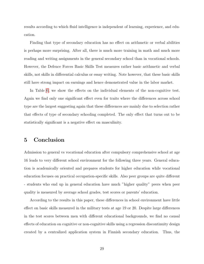results according to which fluid intelligence is independent of learning, experience, and education.

Finding that type of secondary education has no effect on arithmetic or verbal abilities is perhaps more surprising. After all, there is much more training in math and much more reading and writing assignments in the general secondary school than in vocational schools. However, the Defence Forces Basic Skills Test measures rather basic arithmetic and verbal skills, not skills in differential calculus or essay writing. Note however, that these basic skills still have strong impact on earnings and hence demonstrated value in the labor market.

In Table [6,](#page-30-0) we show the effects on the individual elements of the non-cognitive test. Again we find only one significant effect even for traits where the differences across school type are the largest suggesting again that these differences are mainly due to selection rather that effects of type of secondary schooling completed. The only effect that turns out to be statistically significant is a negative effect on masculinity.

## <span id="page-31-0"></span>5 Conclusion

Admission to general vs vocational education after compulsory comprehensive school at age 16 leads to very different school environment for the following three years. General education is academically oriented and prepares students for higher education while vocational education focuses on practical occupation-specific skills. Also peer groups are quite different - students who end up in general education have much "higher quality" peers when peer quality is measured by average school grades, test scores or parents' education.

According to the results in this paper, these differences in school environment have little effect on basic skills measured in the military tests at age 19 or 20. Despite large differences in the test scores between men with different educational backgrounds, we find no causal effects of education on cognitive or non-cognitive skills using a regression discontinuity design created by a centralized application system in Finnish secondary education. Thus, the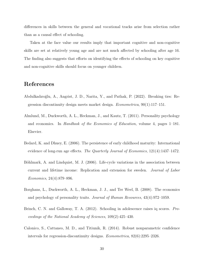differences in skills between the general and vocational tracks arise from selection rather than as a causal effect of schooling.

Taken at the face value our results imply that important cognitive and non-cognitive skills are set at relatively young age and are not much affected by schooling after age 16. The finding also suggests that efforts on identifying the effects of schooling on key cognitive and non-cognitive skills should focus on younger children.

## References

- <span id="page-32-5"></span>Abdulkadıro˘glu, A., Angrist, J. D., Narita, Y., and Pathak, P. (2022). Breaking ties: Regression discontinuity design meets market design. *Econometrica*,  $90(1):117-151$ .
- <span id="page-32-2"></span>Almlund, M., Duckworth, A. L., Heckman, J., and Kautz, T. (2011). Personality psychology and economics. In Handbook of the Economics of Education, volume 4, pages 1–181. Elsevier.
- <span id="page-32-0"></span>Bedard, K. and Dhuey, E. (2006). The persistence of early childhood maturity: International evidence of long-run age effects. The Quarterly Journal of Economics, 121(4):1437–1472.
- <span id="page-32-3"></span>Böhlmark, A. and Lindquist, M. J. (2006). Life-cycle variations in the association between current and lifetime income: Replication and extension for sweden. Journal of Labor Economics, 24(4):879–896.
- <span id="page-32-4"></span>Borghans, L., Duckworth, A. L., Heckman, J. J., and Ter Weel, B. (2008). The economics and psychology of personality traits. Journal of Human Resources, 43(4):972–1059.
- <span id="page-32-1"></span>Brinch, C. N. and Galloway, T. A. (2012). Schooling in adolescence raises iq scores. Proceedings of the National Academy of Sciences, 109(2):425–430.
- <span id="page-32-6"></span>Calonico, S., Cattaneo, M. D., and Titiunik, R. (2014). Robust nonparametric confidence intervals for regression-discontinuity designs. Econometrica, 82(6):2295–2326.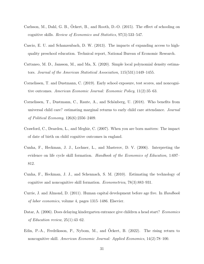- <span id="page-33-8"></span>Carlsson, M., Dahl, G. B., Ockert, B., and Rooth, D.-O. (2015). The effect of schooling on cognitive skills. Review of Economics and Statistics, 97(3):533–547.
- <span id="page-33-2"></span>Cascio, E. U. and Schanzenbach, D. W. (2013). The impacts of expanding access to highquality preschool education. Technical report, National Bureau of Economic Research.
- <span id="page-33-10"></span>Cattaneo, M. D., Jansson, M., and Ma, X. (2020). Simple local polynomial density estimators. Journal of the American Statistical Association, 115(531):1449–1455.
- <span id="page-33-6"></span>Cornelissen, T. and Dustmann, C. (2019). Early school exposure, test scores, and noncognitive outcomes. American Economic Journal: Economic Policy, 11(2):35–63.
- <span id="page-33-3"></span>Cornelissen, T., Dustmann, C., Raute, A., and Schönberg, U. (2018). Who benefits from universal child care? estimating marginal returns to early child care attendance. Journal of Political Economy, 126(6):2356–2409.
- <span id="page-33-4"></span>Crawford, C., Dearden, L., and Meghir, C. (2007). When you are born matters: The impact of date of birth on child cognitive outcomes in england.
- <span id="page-33-0"></span>Cunha, F., Heckman, J. J., Lochner, L., and Masterov, D. V. (2006). Interpreting the evidence on life cycle skill formation. Handbook of the Economics of Education, 1:697– 812.
- <span id="page-33-9"></span>Cunha, F., Heckman, J. J., and Schennach, S. M. (2010). Estimating the technology of cognitive and noncognitive skill formation. Econometrica, 78(3):883–931.
- <span id="page-33-7"></span>Currie, J. and Almond, D. (2011). Human capital development before age five. In Handbook of labor economics, volume 4, pages 1315–1486. Elsevier.
- <span id="page-33-5"></span>Datar, A. (2006). Does delaying kindergarten entrance give children a head start? Economics of Education review, 25(1):43–62.
- <span id="page-33-1"></span>Edin, P.-A., Fredriksson, P., Nybom, M., and Ockert, B. (2022). The rising return to noncognitive skill. American Economic Journal: Applied Economics, 14(2):78–100.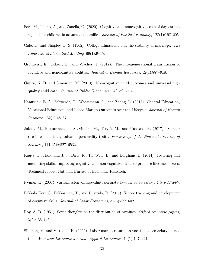- <span id="page-34-1"></span>Fort, M., Ichino, A., and Zanella, G. (2020). Cognitive and noncognitive costs of day care at age 0–2 for children in advantaged families. Journal of Political Economy, 128(1):158–205.
- <span id="page-34-4"></span>Gale, D. and Shapley, L. S. (1962). College admissions and the stability of marriage. The American Mathematical Monthly, 69(1):9–15.
- <span id="page-34-5"></span>Grönqvist, E., Öckert, B., and Vlachos, J. (2017). The intergenerational transmission of cognitive and noncognitive abilities. Journal of Human Resources, 52(4):887–918.
- <span id="page-34-0"></span>Gupta, N. D. and Simonsen, M. (2010). Non-cognitive child outcomes and universal high quality child care. Journal of Public Economics, 94(1-2):30–43.
- <span id="page-34-3"></span>Hanushek, E. A., Schwerdt, G., Woessmann, L., and Zhang, L. (2017). General Education, Vocational Education, and Labor-Market Outcomes over the Lifecycle. Journal of Human Resources, 52(1):48–87.
- <span id="page-34-7"></span>Jokela, M., Pekkarinen, T., Sarvimäki, M., Terviö, M., and Uusitalo, R. (2017). Secular rise in economically valuable personality traits. Proceedings of the National Academy of Sciences, 114(25):6527–6532.
- <span id="page-34-8"></span>Kautz, T., Heckman, J. J., Diris, R., Ter Weel, B., and Borghans, L. (2014). Fostering and measuring skills: Improving cognitive and non-cognitive skills to promote lifetime success. Technical report, National Bureau of Economic Research.
- <span id="page-34-6"></span><span id="page-34-2"></span>Nyman, K. (2007). Varusmiesten johtajavalintojen luotettavuus. Julkaisusarja 1 Nro 1/2007.
- Pekkala Kerr, S., Pekkarinen, T., and Uusitalo, R. (2013). School tracking and development of cognitive skills. Journal of Labor Economics, 31(3):577–602.
- <span id="page-34-9"></span>Roy, A. D. (1951). Some thoughts on the distribution of earnings. Oxford economic papers,  $3(2):135-146.$
- <span id="page-34-10"></span>Silliman, M. and Virtanen, H. (2022). Labor market returns to vocational secondary education. American Economic Journal: Applied Economics, 14(1):197–224.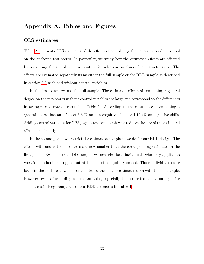## Appendix A. Tables and Figures

#### OLS estimates

Table [A1](#page-36-0) presents OLS estimates of the effects of completing the general secondary school on the anchored test scores. In particular, we study how the estimated effects are affected by restricting the sample and accounting for selection on observable characteristics. The effects are estimated separately using either the full sample or the RDD sample as described in section [3.3](#page-13-0) with and without control variables.

In the first panel, we use the full sample. The estimated effects of completing a general degree on the test scores without control variables are large and correspond to the differences in average test scores presented in Table [2.](#page-20-0) According to these estimates, completing a general degree has an effect of 5.6 % on non-cognitive skills and 19.4% on cognitive skills. Adding control variables for GPA, age at test, and birth year reduces the size of the estimated effects significantly.

In the second panel, we restrict the estimation sample as we do for our RDD design. The effects with and without controls are now smaller than the corresponding estimates in the first panel. By using the RDD sample, we exclude those individuals who only applied to vocational school or dropped out at the end of compulsory school. These individuals score lower in the skills tests which contributes to the smaller estimates than with the full sample. However, even after adding control variables, especially the estimated effects on cognitive skills are still large compared to our RDD estimates in Table [4.](#page-28-0)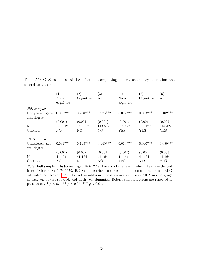<span id="page-36-0"></span> $(1)$   $(2)$   $(3)$   $(4)$   $(5)$   $(6)$ Noncognitive Cognitive All Noncognitive Cognitive All Full sample: Completed general degree  $0.066^{***} \qquad 0.208^{***} \qquad 0.275^{***} \qquad 0.019^{***} \qquad 0.083^{***} \qquad 0.102^{***}$  $(0.001)$   $(0.001)$   $(0.001)$   $(0.001)$   $(0.001)$   $(0.002)$ N 143 512 143 512 143 512 118 427 118 427 118 427 Controls NO NO NO YES YES YES RDD sample: Completed general degree  $0.031***$   $0.118***$   $0.149***$   $0.010***$   $0.040***$   $0.050***$  $(0.001)$   $(0.002)$   $(0.002)$   $(0.002)$   $(0.002)$   $(0.003)$ N 41 164 41 164 41 164 41 164 41 164 41 164 Controls NO NO NO YES YES YES

Table A1: OLS estimates of the effects of completing general secondary education on anchored test scores.

Note: Full sample includes men aged 18 to 22 at the end of the year in which they take the test from birth cohorts 1974-1979. RDD sample refers to the estimation sample used in our RDD estimates (see section [3.3\)](#page-13-0). Control variables include dummies for .5 wide GPA intervals, age at test, age at test squared, and birth year dummies. Robust standard errors are reported in parenthesis. \*  $p < 0.1$ , \*\*  $p < 0.05$ , \*\*\*  $p < 0.01$ .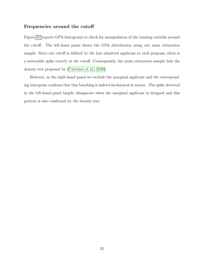#### Frequencies around the cutoff

Figure [A1](#page-38-0) reports GPA histograms to check for manipulation of the running variable around the cutoff. The left-hand panel shows the GPA distribution using our main estimation sample. Since our cutoff is defined by the last admitted applicant to each program, there is a noticeable spike exactly at the cutoff. Consequently, the main estimation sample fails the density test proposed by [\(Cattaneo et al., 2020\)](#page-33-10).

However, in the right-hand panel we exclude the marginal applicant and the corresponding histogram confirms that this bunching is indeed mechanical in nature. The spike detected in the left-hand panel largely disappears when the marginal applicant is dropped and this pattern is also confirmed by the density test.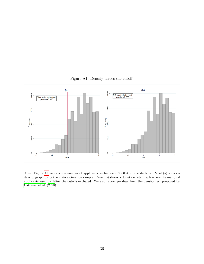<span id="page-38-0"></span>

Figure A1: Density across the cutoff.

Note: Figure [A1](#page-38-0) reports the number of applicants within each .2 GPA unit wide bins. Panel (a) shows a density graph using the main estimation sample. Panel (b) shows a donut density graph where the marginal applicants used to define the cutoffs excluded. We also report p-values from the density test proposed by [Cattaneo et al.](#page-33-10) [\(2020\)](#page-33-10).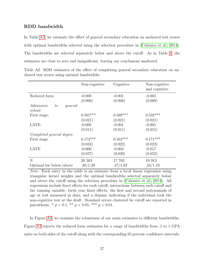### RDD bandwidth

In Table [A2,](#page-39-0) we estimate the effect of general secondary education on anchored test scores with optimal bandwidths selected using the selection procedure in [\(Calonico et al., 2014\)](#page-32-6). The bandwidths are selected separately below and above the cutoff. As in Table [4,](#page-28-0) the estimates are close to zero and insignificant, leaving our conclusions unaltered.

<span id="page-39-0"></span>

|                                       | Non-cognitive | Cognitive  | Non-cognitive<br>and cognitive |
|---------------------------------------|---------------|------------|--------------------------------|
| Reduced form                          | $-0.000$      | $-0.001$   | $-0.003$                       |
|                                       | (0.006)       | (0.006)    | (0.009)                        |
| Admission<br>general<br>to<br>school: |               |            |                                |
| First stage:                          | $0.585***$    | $0.589***$ | $0.592***$                     |
|                                       | (0.021)       | (0.021)    | (0.021)                        |
| LATE:                                 | $-0.000$      | $-0.001$   | $-0.005$                       |
|                                       | (0.011)       | (0.011)    | (0.015)                        |
| Completed general degree:             |               |            |                                |
| First stage                           | $0.173***$    | $0.163***$ | $0.171***$                     |
|                                       | (0.024)       | (0.022)    | (0.023)                        |
| LATE                                  | $-0.000$      | $-0.003$   | $-0.017$                       |
|                                       | (0.037)       | (0.039)    | (0.052)                        |
| N                                     | 20 363        | 17 702     | 19 913                         |
| Optimal bw below/above                | .30/1.20      | .47/1.02   | .34/1.19                       |

Table A2: RDD estimates of the effect of completing general secondary education on anchored test scores using optimal bandwidths

Note: Each entry in the table is an estimate from a local linear regression using triangular kernel weights and the optimal bandwidths selected separately below and above the cutoff using the selection procedure in [\(Calonico et al., 2014\)](#page-32-6). All regressions include fixed effects for each cutoff, interactions between each cutoff and the running variable, birth year fixed effects, the first and second polynomials of age at test measured in days, and a dummy indicating if the individual took the non-cognitive test at the draft. Standard errors clustered by cutoff are reported in parenthesis. \*  $p < 0.1$ , \*\*  $p < 0.05$ , \*\*\*  $p < 0.01$ .

In Figure [A2,](#page-40-0) we examine the robustness of our main estimates to different bandwidths. Figure [A2](#page-40-0) reports the reduced form estimates for a range of bandwidths from .1 to 1 GPA units on both sides of the cutoff along with the corresponding 95 percent confidence intervals.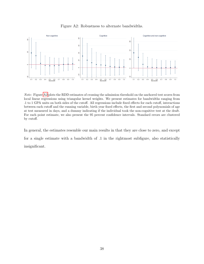<span id="page-40-0"></span>

Figure A2: Robustness to alternate bandwidths.

Note: Figure [A2](#page-40-0) plots the RDD estimates of crossing the admission threshold on the anchored test scores from local linear regressions using triangular kernel weights. We present estimates for bandwidths ranging from .1 to 1 GPA units on both sides of the cutoff. All regressions include fixed effects for each cutoff, interactions between each cutoff and the running variable, birth year fixed effects, the first and second polynomials of age at test measured in days, and a dummy indicating if the individual took the non-cognitive test at the draft. For each point estimate, we also present the 95 percent confidence intervals. Standard errors are clustered by cutoff.

In general, the estimates resemble our main results in that they are close to zero, and except for a single estimate with a bandwidth of .1 in the rightmost subfigure, also statistically insignificant.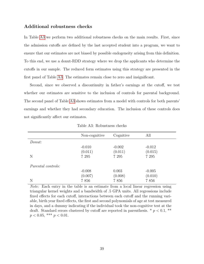#### Additional robustness checks

In Table [A3](#page-41-0) we perform two additional robustness checks on the main results. First, since the admission cutoffs are defined by the last accepted student into a program, we want to ensure that our estimates are not biased by possible endogeneity arising from this definition. To this end, we use a donut-RDD strategy where we drop the applicants who determine the cutoffs in our sample. The reduced form estimates using this strategy are presented in the first panel of Table [A3.](#page-41-0) The estimates remain close to zero and insignificant.

Second, since we observed a discontinuity in father's earnings at the cutoff, we test whether our estimates are sensitive to the inclusion of controls for parental background. The second panel of Table [A3](#page-41-0) shows estimates from a model with controls for both parents' earnings and whether they had secondary education. The inclusion of these controls does not significantly affect our estimates.

<span id="page-41-0"></span>

|                    | Non-cognitive | Cognitive | All      |
|--------------------|---------------|-----------|----------|
| Donut:             |               |           |          |
|                    | $-0.010$      | $-0.002$  | $-0.012$ |
|                    | (0.011)       | (0.011)   | (0.015)  |
| N                  | 7 2 9 5       | 7 2 9 5   | 7 2 9 5  |
| Parental controls: |               |           |          |
|                    | $-0.008$      | 0.003     | $-0.005$ |
|                    | (0.007)       | (0.008)   | (0.010)  |
| N                  | 7856          | 7856      | 7856     |
|                    |               |           |          |

Table A3: Robustness checks

Note: Each entry in the table is an estimate from a local linear regression using triangular kernel weights and a bandwidth of .5 GPA units. All regressions include fixed effects for each cutoff, interactions between each cutoff and the running variable, birth year fixed effects, the first and second polynomials of age at test measured in days, and a dummy indicating if the individual took the non-cognitive test at the draft. Standard errors clustered by cutoff are reported in parenthesis.  $*$   $p < 0.1$ ,  $**$  $p < 0.05$ , \*\*\*  $p < 0.01$ .